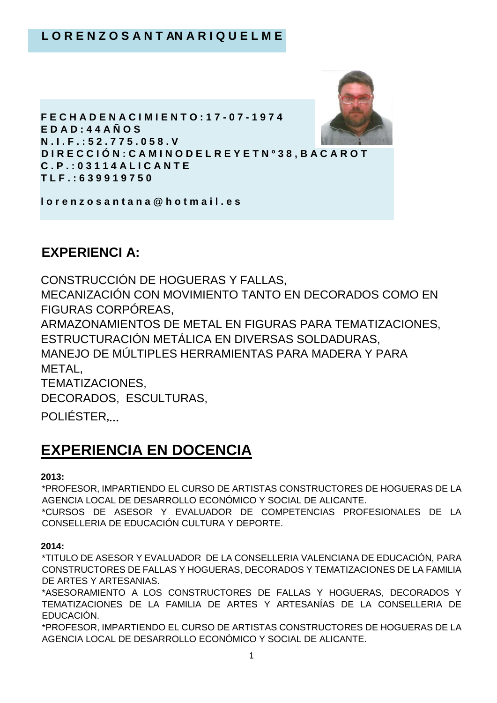

# **EXPERIENCI A:**

CONSTRUCCIÓN DE HOGUERAS Y FALLAS, MECANIZACIÓN CON MOVIMIENTO TANTO EN DECORADOS COMO EN FIGURAS CORPÓREAS, ARMAZONAMIENTOS DE METAL EN FIGURAS PARA TEMATIZACIONES, ESTRUCTURACIÓN METÁLICA EN DIVERSAS SOLDADURAS, MANEJO DE MÚLTIPLES HERRAMIENTAS PARA MADERA Y PARA METAL, TEMATIZACIONES, DECORADOS, ESCULTURAS,

POLIÉSTER**,…**

# **EXPERIENCIA EN DOCENCIA**

#### **2013:**

\*PROFESOR, IMPARTIENDO EL CURSO DE ARTISTAS CONSTRUCTORES DE HOGUERAS DE LA AGENCIA LOCAL DE DESARROLLO ECONÓMICO Y SOCIAL DE ALICANTE. \*CURSOS DE ASESOR Y EVALUADOR DE COMPETENCIAS PROFESIONALES DE LA CONSELLERIA DE EDUCACIÓN CULTURA Y DEPORTE.

#### **2014:**

\*TITULO DE ASESOR Y EVALUADOR DE LA CONSELLERIA VALENCIANA DE EDUCACIÓN, PARA CONSTRUCTORES DE FALLAS Y HOGUERAS, DECORADOS Y TEMATIZACIONES DE LA FAMILIA DE ARTES Y ARTESANIAS.

\*ASESORAMIENTO A LOS CONSTRUCTORES DE FALLAS Y HOGUERAS, DECORADOS Y TEMATIZACIONES DE LA FAMILIA DE ARTES Y ARTESANÍAS DE LA CONSELLERIA DE EDUCACIÓN.

\*PROFESOR, IMPARTIENDO EL CURSO DE ARTISTAS CONSTRUCTORES DE HOGUERAS DE LA AGENCIA LOCAL DE DESARROLLO ECONÓMICO Y SOCIAL DE ALICANTE.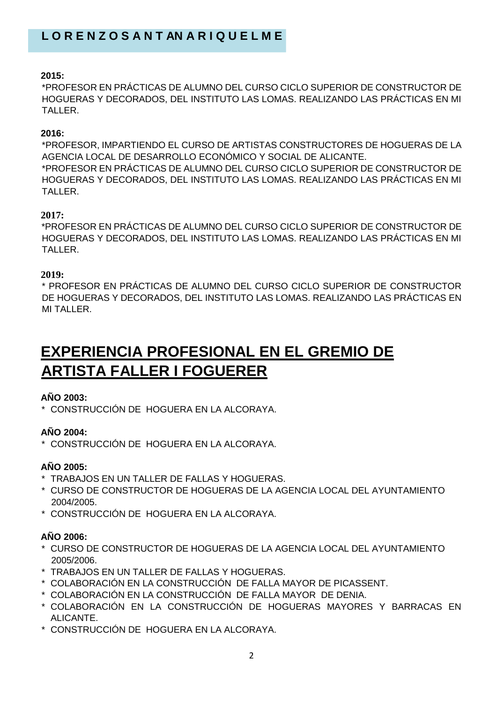#### **2015:**

\*PROFESOR EN PRÁCTICAS DE ALUMNO DEL CURSO CICLO SUPERIOR DE CONSTRUCTOR DE HOGUERAS Y DECORADOS, DEL INSTITUTO LAS LOMAS. REALIZANDO LAS PRÁCTICAS EN MI TALLER.

#### **2016:**

\*PROFESOR, IMPARTIENDO EL CURSO DE ARTISTAS CONSTRUCTORES DE HOGUERAS DE LA AGENCIA LOCAL DE DESARROLLO ECONÓMICO Y SOCIAL DE ALICANTE. \*PROFESOR EN PRÁCTICAS DE ALUMNO DEL CURSO CICLO SUPERIOR DE CONSTRUCTOR DE HOGUERAS Y DECORADOS, DEL INSTITUTO LAS LOMAS. REALIZANDO LAS PRÁCTICAS EN MI TALLER.

### **2017:**

\*PROFESOR EN PRÁCTICAS DE ALUMNO DEL CURSO CICLO SUPERIOR DE CONSTRUCTOR DE HOGUERAS Y DECORADOS, DEL INSTITUTO LAS LOMAS. REALIZANDO LAS PRÁCTICAS EN MI TALLER.

#### **2019:**

\* PROFESOR EN PRÁCTICAS DE ALUMNO DEL CURSO CICLO SUPERIOR DE CONSTRUCTOR DE HOGUERAS Y DECORADOS, DEL INSTITUTO LAS LOMAS. REALIZANDO LAS PRÁCTICAS EN MI TALLER.

# **EXPERIENCIA PROFESIONAL EN EL GREMIO DE ARTISTA FALLER I FOGUERER**

#### **AÑO 2003:**

\* CONSTRUCCIÓN DE HOGUERA EN LA ALCORAYA.

### **AÑO 2004:**

\* CONSTRUCCIÓN DE HOGUERA EN LA ALCORAYA.

### **AÑO 2005:**

- \* TRABAJOS EN UN TALLER DE FALLAS Y HOGUERAS.
- \* CURSO DE CONSTRUCTOR DE HOGUERAS DE LA AGENCIA LOCAL DEL AYUNTAMIENTO 2004/2005.
- \* CONSTRUCCIÓN DE HOGUERA EN LA ALCORAYA.

### **AÑO 2006:**

- \* CURSO DE CONSTRUCTOR DE HOGUERAS DE LA AGENCIA LOCAL DEL AYUNTAMIENTO 2005/2006.
- \* TRABAJOS EN UN TALLER DE FALLAS Y HOGUERAS.
- \* COLABORACIÓN EN LA CONSTRUCCIÓN DE FALLA MAYOR DE PICASSENT.
- \* COLABORACIÓN EN LA CONSTRUCCIÓN DE FALLA MAYOR DE DENIA.
- \* COLABORACIÓN EN LA CONSTRUCCIÓN DE HOGUERAS MAYORES Y BARRACAS EN ALICANTE.
- \* CONSTRUCCIÓN DE HOGUERA EN LA ALCORAYA.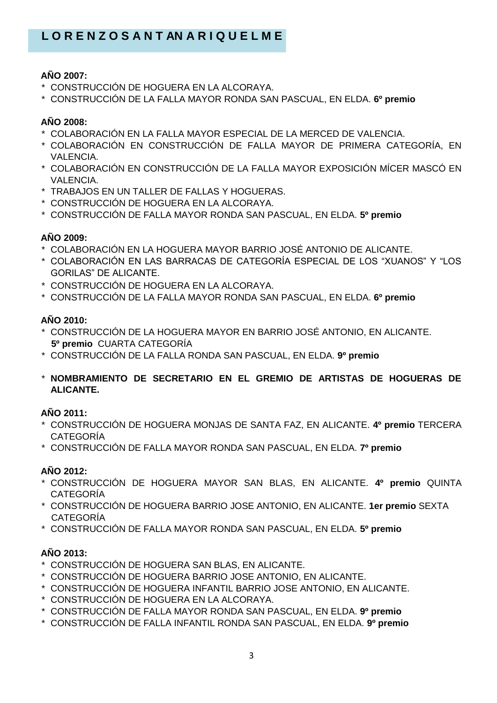#### **AÑO 2007:**

- \* CONSTRUCCIÓN DE HOGUERA EN LA ALCORAYA.
- \* CONSTRUCCIÓN DE LA FALLA MAYOR RONDA SAN PASCUAL, EN ELDA. **6º premio**

## **AÑO 2008:**

- \* COLABORACIÓN EN LA FALLA MAYOR ESPECIAL DE LA MERCED DE VALENCIA.
- \* COLABORACIÓN EN CONSTRUCCIÓN DE FALLA MAYOR DE PRIMERA CATEGORÍA, EN VALENCIA.
- \* COLABORACIÓN EN CONSTRUCCIÓN DE LA FALLA MAYOR EXPOSICIÓN MÍCER MASCÓ EN VALENCIA.
- \* TRABAJOS EN UN TALLER DE FALLAS Y HOGUERAS.
- \* CONSTRUCCIÓN DE HOGUERA EN LA ALCORAYA.
- \* CONSTRUCCIÓN DE FALLA MAYOR RONDA SAN PASCUAL, EN ELDA. **5º premio**

#### **AÑO 2009:**

- \* COLABORACIÓN EN LA HOGUERA MAYOR BARRIO JOSÉ ANTONIO DE ALICANTE.
- \* COLABORACIÓN EN LAS BARRACAS DE CATEGORÍA ESPECIAL DE LOS "XUANOS" Y "LOS GORILAS" DE ALICANTE.
- \* CONSTRUCCIÓN DE HOGUERA EN LA ALCORAYA.
- \* CONSTRUCCIÓN DE LA FALLA MAYOR RONDA SAN PASCUAL, EN ELDA. **6º premio**

#### **AÑO 2010:**

- \* CONSTRUCCIÓN DE LA HOGUERA MAYOR EN BARRIO JOSÉ ANTONIO, EN ALICANTE.  **5º premio** CUARTA CATEGORÍA
- \* CONSTRUCCIÓN DE LA FALLA RONDA SAN PASCUAL, EN ELDA. **9º premio**
- \* **NOMBRAMIENTO DE SECRETARIO EN EL GREMIO DE ARTISTAS DE HOGUERAS DE ALICANTE.**

### **AÑO 2011:**

- \* CONSTRUCCIÓN DE HOGUERA MONJAS DE SANTA FAZ, EN ALICANTE. **4º premio** TERCERA CATEGORÍA
- \* CONSTRUCCIÓN DE FALLA MAYOR RONDA SAN PASCUAL, EN ELDA. **7º premio**

#### **AÑO 2012:**

- \* CONSTRUCCIÓN DE HOGUERA MAYOR SAN BLAS, EN ALICANTE. **4º premio** QUINTA CATEGORÍA
- \* CONSTRUCCIÓN DE HOGUERA BARRIO JOSE ANTONIO, EN ALICANTE. **1er premio** SEXTA CATEGORÍA
- \* CONSTRUCCIÓN DE FALLA MAYOR RONDA SAN PASCUAL, EN ELDA. **5º premio**

# **AÑO 2013:**

- \* CONSTRUCCIÓN DE HOGUERA SAN BLAS, EN ALICANTE.
- \* CONSTRUCCIÓN DE HOGUERA BARRIO JOSE ANTONIO, EN ALICANTE.
- \* CONSTRUCCIÓN DE HOGUERA INFANTIL BARRIO JOSE ANTONIO, EN ALICANTE.
- \* CONSTRUCCIÓN DE HOGUERA EN LA ALCORAYA.
- \* CONSTRUCCIÓN DE FALLA MAYOR RONDA SAN PASCUAL, EN ELDA. **9º premio**
- \* CONSTRUCCIÓN DE FALLA INFANTIL RONDA SAN PASCUAL, EN ELDA. **9º premio**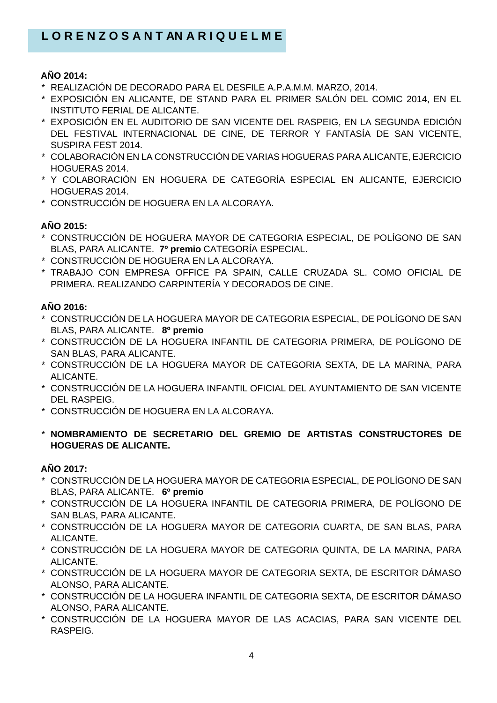### **AÑO 2014:**

- \* REALIZACIÓN DE DECORADO PARA EL DESFILE A.P.A.M.M. MARZO, 2014.
- \* EXPOSICIÓN EN ALICANTE, DE STAND PARA EL PRIMER SALÓN DEL COMIC 2014, EN EL INSTITUTO FERIAL DE ALICANTE.
- \* EXPOSICIÓN EN EL AUDITORIO DE SAN VICENTE DEL RASPEIG, EN LA SEGUNDA EDICIÓN DEL FESTIVAL INTERNACIONAL DE CINE, DE TERROR Y FANTASÍA DE SAN VICENTE, SUSPIRA FEST 2014.
- \* COLABORACIÓN EN LA CONSTRUCCIÓN DE VARIAS HOGUERAS PARA ALICANTE, EJERCICIO HOGUERAS 2014.
- \* Y COLABORACIÓN EN HOGUERA DE CATEGORÍA ESPECIAL EN ALICANTE, EJERCICIO HOGUERAS 2014.
- \* CONSTRUCCIÓN DE HOGUERA EN LA ALCORAYA.

# **AÑO 2015:**

- \* CONSTRUCCIÓN DE HOGUERA MAYOR DE CATEGORIA ESPECIAL, DE POLÍGONO DE SAN BLAS, PARA ALICANTE. **7º premio** CATEGORÍA ESPECIAL.
- \* CONSTRUCCIÓN DE HOGUERA EN LA ALCORAYA.
- \* TRABAJO CON EMPRESA OFFICE PA SPAIN, CALLE CRUZADA SL. COMO OFICIAL DE PRIMERA. REALIZANDO CARPINTERÍA Y DECORADOS DE CINE.

# **AÑO 2016:**

- \* CONSTRUCCIÓN DE LA HOGUERA MAYOR DE CATEGORIA ESPECIAL, DE POLÍGONO DE SAN BLAS, PARA ALICANTE. **8º premio**
- \* CONSTRUCCIÓN DE LA HOGUERA INFANTIL DE CATEGORIA PRIMERA, DE POLÍGONO DE SAN BLAS, PARA ALICANTE.
- \* CONSTRUCCIÓN DE LA HOGUERA MAYOR DE CATEGORIA SEXTA, DE LA MARINA, PARA ALICANTE.
- \* CONSTRUCCIÓN DE LA HOGUERA INFANTIL OFICIAL DEL AYUNTAMIENTO DE SAN VICENTE DEL RASPEIG.
- \* CONSTRUCCIÓN DE HOGUERA EN LA ALCORAYA.
- \* **NOMBRAMIENTO DE SECRETARIO DEL GREMIO DE ARTISTAS CONSTRUCTORES DE HOGUERAS DE ALICANTE.**

### **AÑO 2017:**

- \* CONSTRUCCIÓN DE LA HOGUERA MAYOR DE CATEGORIA ESPECIAL, DE POLÍGONO DE SAN BLAS, PARA ALICANTE. **6º premio**
- \* CONSTRUCCIÓN DE LA HOGUERA INFANTIL DE CATEGORIA PRIMERA, DE POLÍGONO DE SAN BLAS, PARA ALICANTE.
- \* CONSTRUCCIÓN DE LA HOGUERA MAYOR DE CATEGORIA CUARTA, DE SAN BLAS, PARA ALICANTE.
- \* CONSTRUCCIÓN DE LA HOGUERA MAYOR DE CATEGORIA QUINTA, DE LA MARINA, PARA ALICANTE.
- \* CONSTRUCCIÓN DE LA HOGUERA MAYOR DE CATEGORIA SEXTA, DE ESCRITOR DÁMASO ALONSO, PARA ALICANTE.
- \* CONSTRUCCIÓN DE LA HOGUERA INFANTIL DE CATEGORIA SEXTA, DE ESCRITOR DÁMASO ALONSO, PARA ALICANTE.
- \* CONSTRUCCIÓN DE LA HOGUERA MAYOR DE LAS ACACIAS, PARA SAN VICENTE DEL RASPEIG.